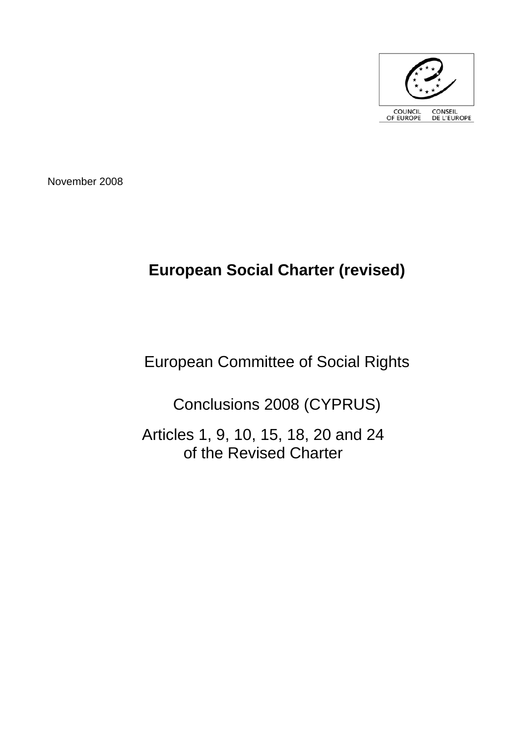

November 2008

# **European Social Charter (revised)**

# European Committee of Social Rights

Conclusions 2008 (CYPRUS)

Articles 1, 9, 10, 15, 18, 20 and 24 of the Revised Charter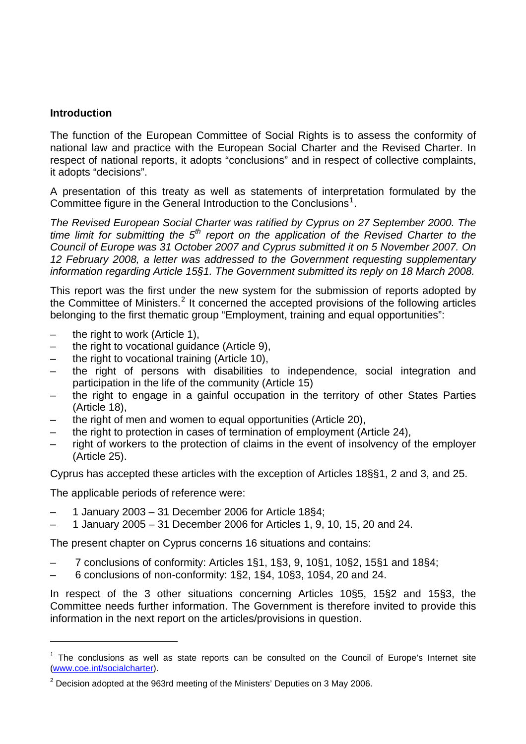## **Introduction**

The function of the European Committee of Social Rights is to assess the conformity of national law and practice with the European Social Charter and the Revised Charter. In respect of national reports, it adopts "conclusions" and in respect of collective complaints, it adopts "decisions".

A presentation of this treaty as well as statements of interpretation formulated by the Committee figure in the General Introduction to the Conclusions<sup>[1](#page-2-0)</sup>.

*The Revised European Social Charter was ratified by Cyprus on 27 September 2000. The*  time limit for submitting the 5<sup>th</sup> report on the application of the Revised Charter to the *Council of Europe was 31 October 2007 and Cyprus submitted it on 5 November 2007. On 12 February 2008, a letter was addressed to the Government requesting supplementary information regarding Article 15§1. The Government submitted its reply on 18 March 2008.* 

This report was the first under the new system for the submission of reports adopted by the Committee of Ministers.<sup>[2](#page-2-1)</sup> It concerned the accepted provisions of the following articles belonging to the first thematic group "Employment, training and equal opportunities":

- the right to work (Article 1),
- the right to vocational guidance (Article 9),
- the right to vocational training (Article 10),
- the right of persons with disabilities to independence, social integration and participation in the life of the community (Article 15)
- the right to engage in a gainful occupation in the territory of other States Parties (Article 18),
- the right of men and women to equal opportunities (Article 20),
- the right to protection in cases of termination of employment (Article 24),
- right of workers to the protection of claims in the event of insolvency of the employer (Article 25).

Cyprus has accepted these articles with the exception of Articles 18§§1, 2 and 3, and 25.

The applicable periods of reference were:

l

- 1 January 2003 31 December 2006 for Article 18§4;
- 1 January 2005 31 December 2006 for Articles 1, 9, 10, 15, 20 and 24.

The present chapter on Cyprus concerns 16 situations and contains:

- 7 conclusions of conformity: Articles 1§1, 1§3, 9, 10§1, 10§2, 15§1 and 18§4;
- 6 conclusions of non-conformity: 1§2, 1§4, 10§3, 10§4, 20 and 24.

In respect of the 3 other situations concerning Articles 10§5, 15§2 and 15§3, the Committee needs further information. The Government is therefore invited to provide this information in the next report on the articles/provisions in question.

<span id="page-2-0"></span> $1$  The conclusions as well as state reports can be consulted on the Council of Europe's Internet site [\(www.coe.int/socialcharter](http://www.coe.int/socialcharter)).

<span id="page-2-1"></span> $2$  Decision adopted at the 963rd meeting of the Ministers' Deputies on 3 May 2006.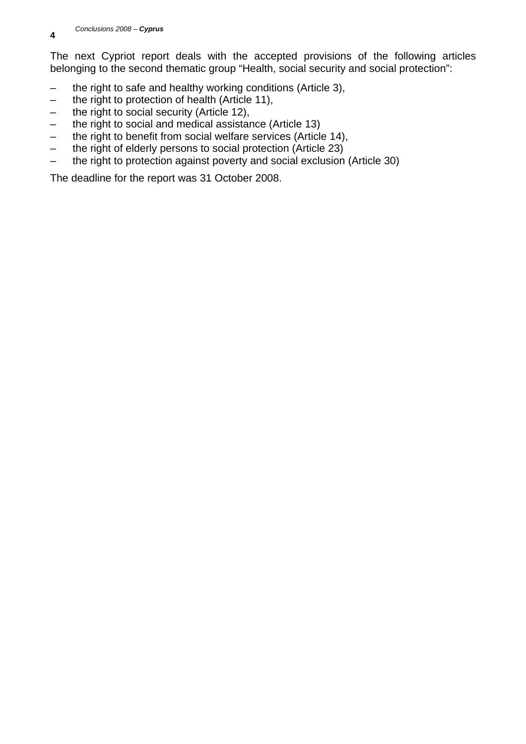The next Cypriot report deals with the accepted provisions of the following articles belonging to the second thematic group "Health, social security and social protection":

- the right to safe and healthy working conditions (Article 3),
- the right to protection of health (Article 11),
- the right to social security (Article 12),
- the right to social and medical assistance (Article 13)
- the right to benefit from social welfare services (Article 14),
- the right of elderly persons to social protection (Article 23)
- the right to protection against poverty and social exclusion (Article 30)

The deadline for the report was 31 October 2008.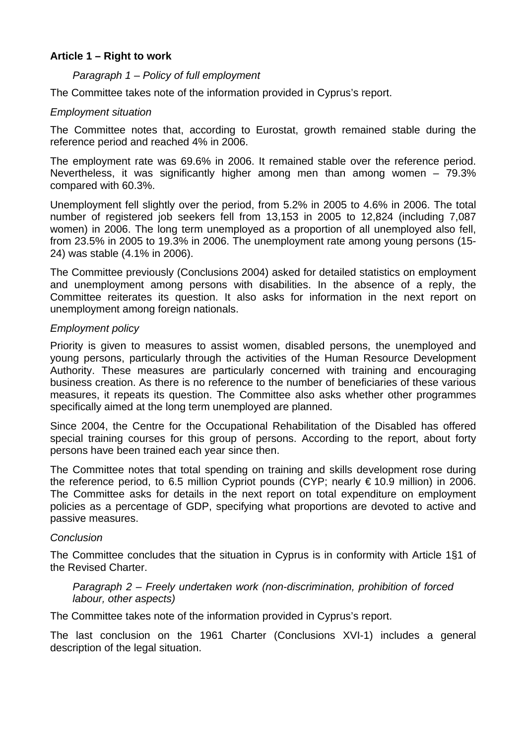# **Article 1 – Right to work**

## *Paragraph 1 – Policy of full employment*

The Committee takes note of the information provided in Cyprus's report.

## *Employment situation*

The Committee notes that, according to Eurostat, growth remained stable during the reference period and reached 4% in 2006.

The employment rate was 69.6% in 2006. It remained stable over the reference period. Nevertheless, it was significantly higher among men than among women – 79.3% compared with 60.3%.

Unemployment fell slightly over the period, from 5.2% in 2005 to 4.6% in 2006. The total number of registered job seekers fell from 13,153 in 2005 to 12,824 (including 7,087 women) in 2006. The long term unemployed as a proportion of all unemployed also fell, from 23.5% in 2005 to 19.3% in 2006. The unemployment rate among young persons (15- 24) was stable (4.1% in 2006).

The Committee previously (Conclusions 2004) asked for detailed statistics on employment and unemployment among persons with disabilities. In the absence of a reply, the Committee reiterates its question. It also asks for information in the next report on unemployment among foreign nationals.

## *Employment policy*

Priority is given to measures to assist women, disabled persons, the unemployed and young persons, particularly through the activities of the Human Resource Development Authority. These measures are particularly concerned with training and encouraging business creation. As there is no reference to the number of beneficiaries of these various measures, it repeats its question. The Committee also asks whether other programmes specifically aimed at the long term unemployed are planned.

Since 2004, the Centre for the Occupational Rehabilitation of the Disabled has offered special training courses for this group of persons. According to the report, about forty persons have been trained each year since then.

The Committee notes that total spending on training and skills development rose during the reference period, to 6.5 million Cypriot pounds (CYP; nearly  $\epsilon$  10.9 million) in 2006. The Committee asks for details in the next report on total expenditure on employment policies as a percentage of GDP, specifying what proportions are devoted to active and passive measures.

## *Conclusion*

The Committee concludes that the situation in Cyprus is in conformity with Article 1§1 of the Revised Charter.

## *Paragraph 2 – Freely undertaken work (non-discrimination, prohibition of forced labour, other aspects)*

The Committee takes note of the information provided in Cyprus's report.

The last conclusion on the 1961 Charter (Conclusions XVI-1) includes a general description of the legal situation.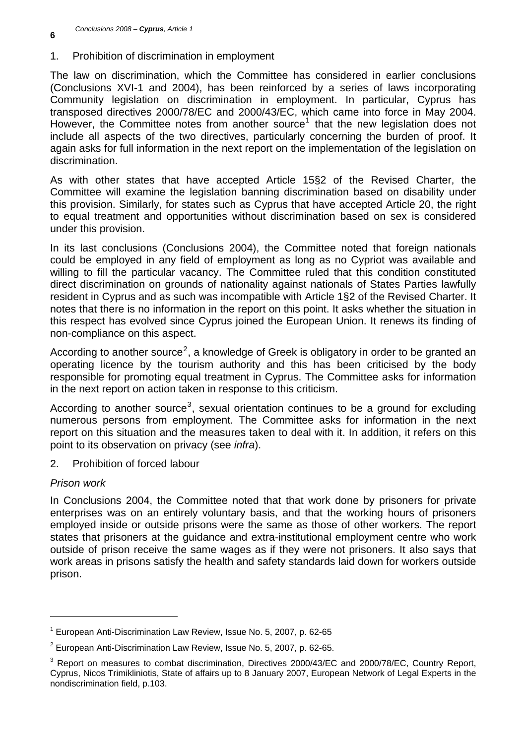1. Prohibition of discrimination in employment

The law on discrimination, which the Committee has considered in earlier conclusions (Conclusions XVI-1 and 2004), has been reinforced by a series of laws incorporating Community legislation on discrimination in employment. In particular, Cyprus has transposed directives 2000/78/EC and 2000/43/EC, which came into force in May 2004. However, the Committee notes from another source<sup>[1](#page-5-0)</sup> that the new legislation does not include all aspects of the two directives, particularly concerning the burden of proof. It again asks for full information in the next report on the implementation of the legislation on discrimination.

As with other states that have accepted Article 15§2 of the Revised Charter, the Committee will examine the legislation banning discrimination based on disability under this provision. Similarly, for states such as Cyprus that have accepted Article 20, the right to equal treatment and opportunities without discrimination based on sex is considered under this provision.

In its last conclusions (Conclusions 2004), the Committee noted that foreign nationals could be employed in any field of employment as long as no Cypriot was available and willing to fill the particular vacancy. The Committee ruled that this condition constituted direct discrimination on grounds of nationality against nationals of States Parties lawfully resident in Cyprus and as such was incompatible with Article 1§2 of the Revised Charter. It notes that there is no information in the report on this point. It asks whether the situation in this respect has evolved since Cyprus joined the European Union. It renews its finding of non-compliance on this aspect.

According to another source<sup>[2](#page-5-1)</sup>, a knowledge of Greek is obligatory in order to be granted an operating licence by the tourism authority and this has been criticised by the body responsible for promoting equal treatment in Cyprus. The Committee asks for information in the next report on action taken in response to this criticism.

According to another source<sup>[3](#page-5-2)</sup>, sexual orientation continues to be a ground for excluding numerous persons from employment. The Committee asks for information in the next report on this situation and the measures taken to deal with it. In addition, it refers on this point to its observation on privacy (see *infra*).

2. Prohibition of forced labour

# *Prison work*

l

In Conclusions 2004, the Committee noted that that work done by prisoners for private enterprises was on an entirely voluntary basis, and that the working hours of prisoners employed inside or outside prisons were the same as those of other workers. The report states that prisoners at the guidance and extra-institutional employment centre who work outside of prison receive the same wages as if they were not prisoners. It also says that work areas in prisons satisfy the health and safety standards laid down for workers outside prison.

<span id="page-5-0"></span><sup>&</sup>lt;sup>1</sup> European Anti-Discrimination Law Review, Issue No. 5, 2007, p. 62-65

<span id="page-5-1"></span> $2$  European Anti-Discrimination Law Review, Issue No. 5, 2007, p. 62-65.

<span id="page-5-2"></span> $3$  Report on measures to combat discrimination, Directives 2000/43/EC and 2000/78/EC, Country Report, Cyprus, Nicos Trimikliniotis, State of affairs up to 8 January 2007, European Network of Legal Experts in the nondiscrimination field, p.103.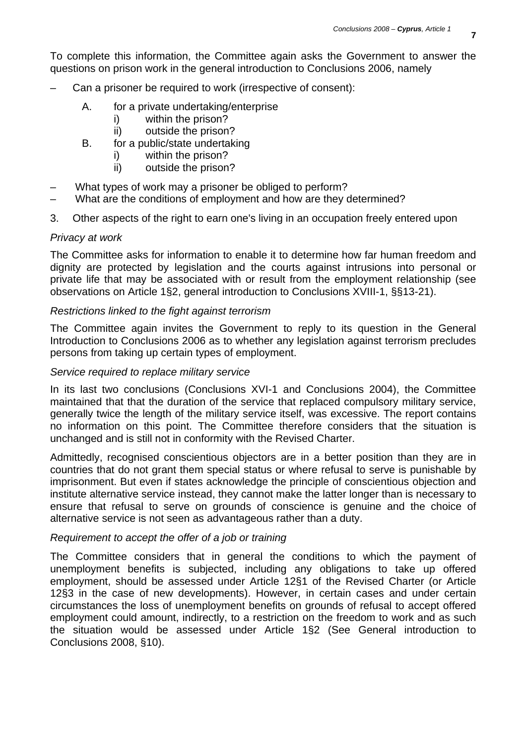To complete this information, the Committee again asks the Government to answer the questions on prison work in the general introduction to Conclusions 2006, namely

- Can a prisoner be required to work (irrespective of consent):
	- A. for a private undertaking/enterprise
		- i) within the prison?
		- ii) outside the prison?
	- B. for a public/state undertaking
		- i) within the prison?
		- ii) outside the prison?
- What types of work may a prisoner be obliged to perform?
- What are the conditions of employment and how are they determined?
- 3. Other aspects of the right to earn one's living in an occupation freely entered upon

## *Privacy at work*

The Committee asks for information to enable it to determine how far human freedom and dignity are protected by legislation and the courts against intrusions into personal or private life that may be associated with or result from the employment relationship (see observations on Article 1§2, general introduction to Conclusions XVIII-1, §§13-21).

## *Restrictions linked to the fight against terrorism*

The Committee again invites the Government to reply to its question in the General Introduction to Conclusions 2006 as to whether any legislation against terrorism precludes persons from taking up certain types of employment.

## *Service required to replace military service*

In its last two conclusions (Conclusions XVI-1 and Conclusions 2004), the Committee maintained that that the duration of the service that replaced compulsory military service, generally twice the length of the military service itself, was excessive. The report contains no information on this point. The Committee therefore considers that the situation is unchanged and is still not in conformity with the Revised Charter.

Admittedly, recognised conscientious objectors are in a better position than they are in countries that do not grant them special status or where refusal to serve is punishable by imprisonment. But even if states acknowledge the principle of conscientious objection and institute alternative service instead, they cannot make the latter longer than is necessary to ensure that refusal to serve on grounds of conscience is genuine and the choice of alternative service is not seen as advantageous rather than a duty.

## *Requirement to accept the offer of a job or training*

The Committee considers that in general the conditions to which the payment of unemployment benefits is subjected, including any obligations to take up offered employment, should be assessed under Article 12§1 of the Revised Charter (or Article 12§3 in the case of new developments). However, in certain cases and under certain circumstances the loss of unemployment benefits on grounds of refusal to accept offered employment could amount, indirectly, to a restriction on the freedom to work and as such the situation would be assessed under Article 1§2 (See General introduction to Conclusions 2008, §10).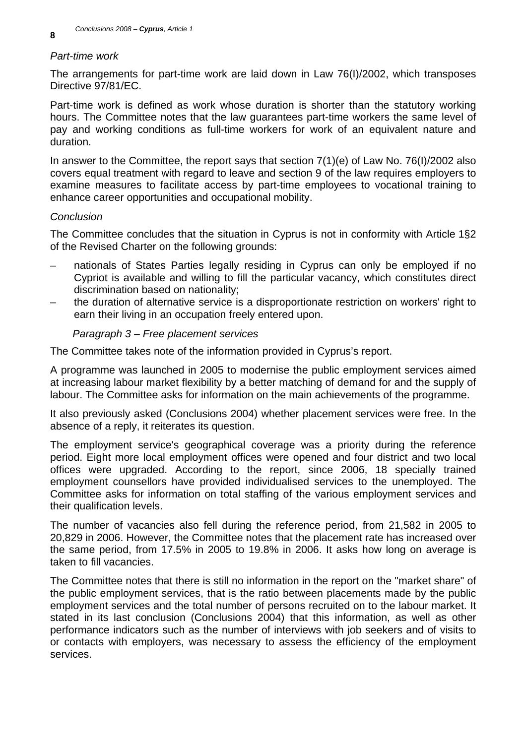# *Part-time work*

The arrangements for part-time work are laid down in Law 76(I)/2002, which transposes Directive 97/81/EC.

Part-time work is defined as work whose duration is shorter than the statutory working hours. The Committee notes that the law guarantees part-time workers the same level of pay and working conditions as full-time workers for work of an equivalent nature and duration.

In answer to the Committee, the report says that section 7(1)(e) of Law No. 76(I)/2002 also covers equal treatment with regard to leave and section 9 of the law requires employers to examine measures to facilitate access by part-time employees to vocational training to enhance career opportunities and occupational mobility.

# *Conclusion*

The Committee concludes that the situation in Cyprus is not in conformity with Article 1§2 of the Revised Charter on the following grounds:

- nationals of States Parties legally residing in Cyprus can only be employed if no Cypriot is available and willing to fill the particular vacancy, which constitutes direct discrimination based on nationality;
- the duration of alternative service is a disproportionate restriction on workers' right to earn their living in an occupation freely entered upon.

# *Paragraph 3 – Free placement services*

The Committee takes note of the information provided in Cyprus's report.

A programme was launched in 2005 to modernise the public employment services aimed at increasing labour market flexibility by a better matching of demand for and the supply of labour. The Committee asks for information on the main achievements of the programme.

It also previously asked (Conclusions 2004) whether placement services were free. In the absence of a reply, it reiterates its question.

The employment service's geographical coverage was a priority during the reference period. Eight more local employment offices were opened and four district and two local offices were upgraded. According to the report, since 2006, 18 specially trained employment counsellors have provided individualised services to the unemployed. The Committee asks for information on total staffing of the various employment services and their qualification levels.

The number of vacancies also fell during the reference period, from 21,582 in 2005 to 20,829 in 2006. However, the Committee notes that the placement rate has increased over the same period, from 17.5% in 2005 to 19.8% in 2006. It asks how long on average is taken to fill vacancies.

The Committee notes that there is still no information in the report on the "market share" of the public employment services, that is the ratio between placements made by the public employment services and the total number of persons recruited on to the labour market. It stated in its last conclusion (Conclusions 2004) that this information, as well as other performance indicators such as the number of interviews with job seekers and of visits to or contacts with employers, was necessary to assess the efficiency of the employment services.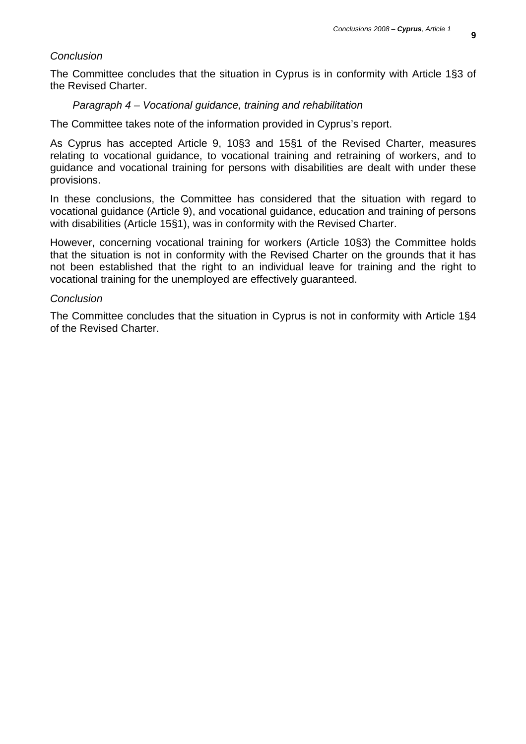#### *Conclusion*

The Committee concludes that the situation in Cyprus is in conformity with Article 1§3 of the Revised Charter.

#### *Paragraph 4 – Vocational guidance, training and rehabilitation*

The Committee takes note of the information provided in Cyprus's report.

As Cyprus has accepted Article 9, 10§3 and 15§1 of the Revised Charter, measures relating to vocational guidance, to vocational training and retraining of workers, and to guidance and vocational training for persons with disabilities are dealt with under these provisions.

In these conclusions, the Committee has considered that the situation with regard to vocational guidance (Article 9), and vocational guidance, education and training of persons with disabilities (Article 15§1), was in conformity with the Revised Charter.

However, concerning vocational training for workers (Article 10§3) the Committee holds that the situation is not in conformity with the Revised Charter on the grounds that it has not been established that the right to an individual leave for training and the right to vocational training for the unemployed are effectively guaranteed.

#### *Conclusion*

The Committee concludes that the situation in Cyprus is not in conformity with Article 1§4 of the Revised Charter.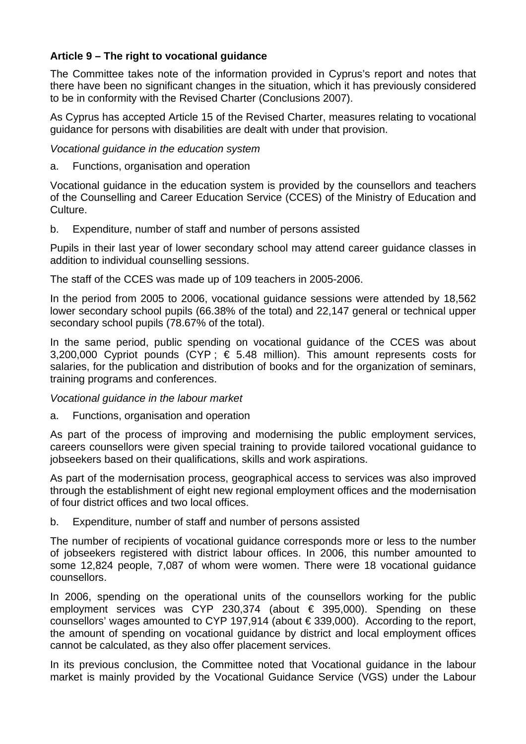# **Article 9 – The right to vocational guidance**

The Committee takes note of the information provided in Cyprus's report and notes that there have been no significant changes in the situation, which it has previously considered to be in conformity with the Revised Charter (Conclusions 2007).

As Cyprus has accepted Article 15 of the Revised Charter, measures relating to vocational guidance for persons with disabilities are dealt with under that provision.

*Vocational guidance in the education system* 

a. Functions, organisation and operation

Vocational guidance in the education system is provided by the counsellors and teachers of the Counselling and Career Education Service (CCES) of the Ministry of Education and Culture.

b. Expenditure, number of staff and number of persons assisted

Pupils in their last year of lower secondary school may attend career guidance classes in addition to individual counselling sessions.

The staff of the CCES was made up of 109 teachers in 2005-2006.

In the period from 2005 to 2006, vocational guidance sessions were attended by 18,562 lower secondary school pupils (66.38% of the total) and 22,147 general or technical upper secondary school pupils (78.67% of the total).

In the same period, public spending on vocational guidance of the CCES was about 3,200,000 Cypriot pounds (CYP;  $\epsilon$  5.48 million). This amount represents costs for salaries, for the publication and distribution of books and for the organization of seminars, training programs and conferences.

# *Vocational guidance in the labour market*

a. Functions, organisation and operation

As part of the process of improving and modernising the public employment services, careers counsellors were given special training to provide tailored vocational guidance to jobseekers based on their qualifications, skills and work aspirations.

As part of the modernisation process, geographical access to services was also improved through the establishment of eight new regional employment offices and the modernisation of four district offices and two local offices.

b. Expenditure, number of staff and number of persons assisted

The number of recipients of vocational guidance corresponds more or less to the number of jobseekers registered with district labour offices. In 2006, this number amounted to some 12,824 people, 7,087 of whom were women. There were 18 vocational guidance counsellors.

In 2006, spending on the operational units of the counsellors working for the public employment services was CYP 230,374 (about  $\epsilon$  395,000). Spending on these counsellors' wages amounted to CYP 197,914 (about € 339,000). According to the report, the amount of spending on vocational guidance by district and local employment offices cannot be calculated, as they also offer placement services.

In its previous conclusion, the Committee noted that Vocational guidance in the labour market is mainly provided by the Vocational Guidance Service (VGS) under the Labour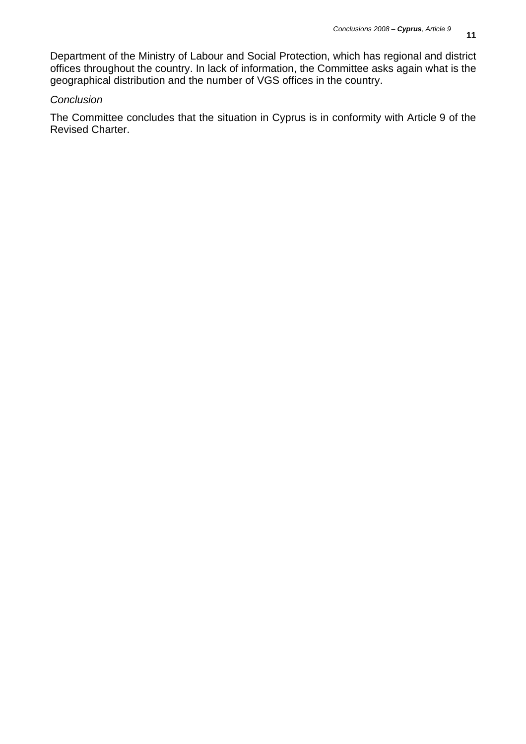Department of the Ministry of Labour and Social Protection, which has regional and district offices throughout the country. In lack of information, the Committee asks again what is the geographical distribution and the number of VGS offices in the country.

# *Conclusion*

The Committee concludes that the situation in Cyprus is in conformity with Article 9 of the Revised Charter.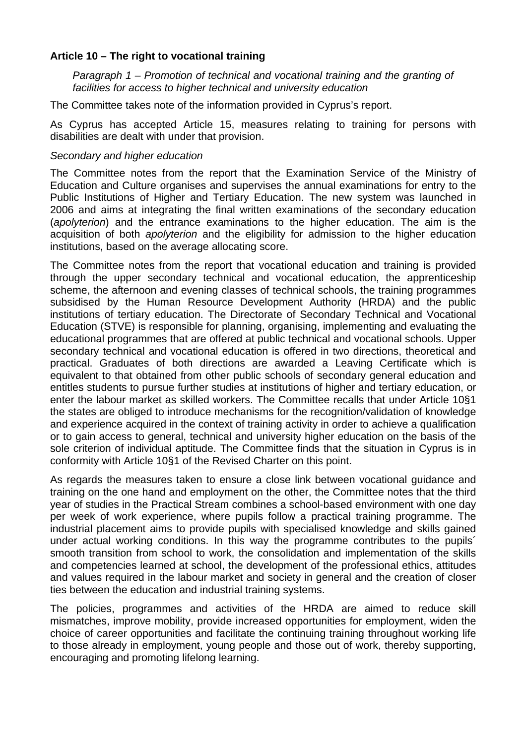# **Article 10 – The right to vocational training**

*Paragraph 1 – Promotion of technical and vocational training and the granting of facilities for access to higher technical and university education* 

The Committee takes note of the information provided in Cyprus's report.

As Cyprus has accepted Article 15, measures relating to training for persons with disabilities are dealt with under that provision.

## *Secondary and higher education*

The Committee notes from the report that the Examination Service of the Ministry of Education and Culture organises and supervises the annual examinations for entry to the Public Institutions of Higher and Tertiary Education. The new system was launched in 2006 and aims at integrating the final written examinations of the secondary education (*apolyterion*) and the entrance examinations to the higher education. The aim is the acquisition of both *apolyterion* and the eligibility for admission to the higher education institutions, based on the average allocating score.

The Committee notes from the report that vocational education and training is provided through the upper secondary technical and vocational education, the apprenticeship scheme, the afternoon and evening classes of technical schools, the training programmes subsidised by the Human Resource Development Authority (HRDA) and the public institutions of tertiary education. The Directorate of Secondary Technical and Vocational Education (STVE) is responsible for planning, organising, implementing and evaluating the educational programmes that are offered at public technical and vocational schools. Upper secondary technical and vocational education is offered in two directions, theoretical and practical. Graduates of both directions are awarded a Leaving Certificate which is equivalent to that obtained from other public schools of secondary general education and entitles students to pursue further studies at institutions of higher and tertiary education, or enter the labour market as skilled workers. The Committee recalls that under Article 10§1 the states are obliged to introduce mechanisms for the recognition/validation of knowledge and experience acquired in the context of training activity in order to achieve a qualification or to gain access to general, technical and university higher education on the basis of the sole criterion of individual aptitude. The Committee finds that the situation in Cyprus is in conformity with Article 10§1 of the Revised Charter on this point.

As regards the measures taken to ensure a close link between vocational guidance and training on the one hand and employment on the other, the Committee notes that the third year of studies in the Practical Stream combines a school-based environment with one day per week of work experience, where pupils follow a practical training programme. The industrial placement aims to provide pupils with specialised knowledge and skills gained under actual working conditions. In this way the programme contributes to the pupils´ smooth transition from school to work, the consolidation and implementation of the skills and competencies learned at school, the development of the professional ethics, attitudes and values required in the labour market and society in general and the creation of closer ties between the education and industrial training systems.

The policies, programmes and activities of the HRDA are aimed to reduce skill mismatches, improve mobility, provide increased opportunities for employment, widen the choice of career opportunities and facilitate the continuing training throughout working life to those already in employment, young people and those out of work, thereby supporting, encouraging and promoting lifelong learning.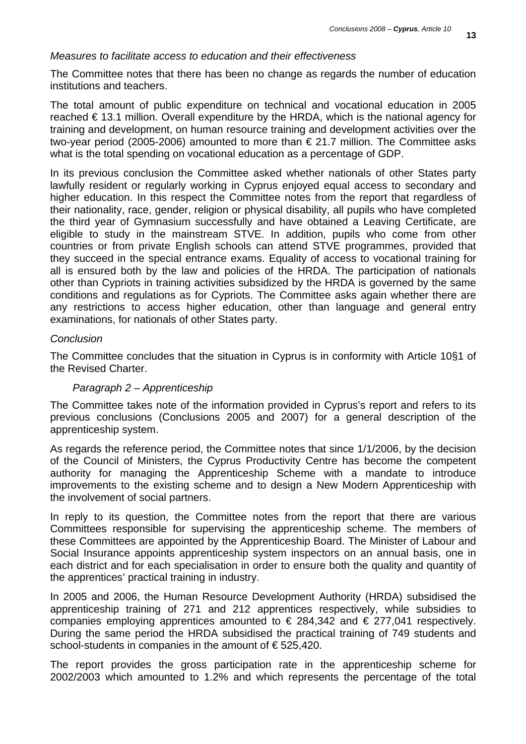## *Measures to facilitate access to education and their effectiveness*

The Committee notes that there has been no change as regards the number of education institutions and teachers.

The total amount of public expenditure on technical and vocational education in 2005 reached € 13.1 million. Overall expenditure by the HRDA, which is the national agency for training and development, on human resource training and development activities over the two-year period (2005-2006) amounted to more than € 21.7 million. The Committee asks what is the total spending on vocational education as a percentage of GDP.

In its previous conclusion the Committee asked whether nationals of other States party lawfully resident or regularly working in Cyprus enjoyed equal access to secondary and higher education. In this respect the Committee notes from the report that regardless of their nationality, race, gender, religion or physical disability, all pupils who have completed the third year of Gymnasium successfully and have obtained a Leaving Certificate, are eligible to study in the mainstream STVE. In addition, pupils who come from other countries or from private English schools can attend STVE programmes, provided that they succeed in the special entrance exams. Equality of access to vocational training for all is ensured both by the law and policies of the HRDA. The participation of nationals other than Cypriots in training activities subsidized by the HRDA is governed by the same conditions and regulations as for Cypriots. The Committee asks again whether there are any restrictions to access higher education, other than language and general entry examinations, for nationals of other States party.

#### *Conclusion*

The Committee concludes that the situation in Cyprus is in conformity with Article 10§1 of the Revised Charter.

#### *Paragraph 2 – Apprenticeship*

The Committee takes note of the information provided in Cyprus's report and refers to its previous conclusions (Conclusions 2005 and 2007) for a general description of the apprenticeship system.

As regards the reference period, the Committee notes that since 1/1/2006, by the decision of the Council of Ministers, the Cyprus Productivity Centre has become the competent authority for managing the Apprenticeship Scheme with a mandate to introduce improvements to the existing scheme and to design a New Modern Apprenticeship with the involvement of social partners.

In reply to its question, the Committee notes from the report that there are various Committees responsible for supervising the apprenticeship scheme. The members of these Committees are appointed by the Apprenticeship Board. The Minister of Labour and Social Insurance appoints apprenticeship system inspectors on an annual basis, one in each district and for each specialisation in order to ensure both the quality and quantity of the apprentices' practical training in industry.

In 2005 and 2006, the Human Resource Development Authority (HRDA) subsidised the apprenticeship training of 271 and 212 apprentices respectively, while subsidies to companies employing apprentices amounted to  $\epsilon$  284,342 and  $\epsilon$  277,041 respectively. During the same period the HRDA subsidised the practical training of 749 students and school-students in companies in the amount of €525,420.

The report provides the gross participation rate in the apprenticeship scheme for 2002/2003 which amounted to 1.2% and which represents the percentage of the total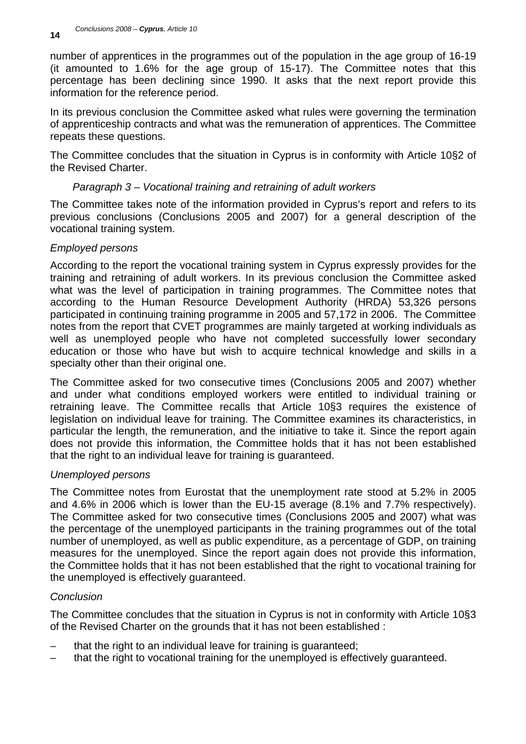number of apprentices in the programmes out of the population in the age group of 16-19 (it amounted to 1.6% for the age group of 15-17). The Committee notes that this percentage has been declining since 1990. It asks that the next report provide this information for the reference period.

In its previous conclusion the Committee asked what rules were governing the termination of apprenticeship contracts and what was the remuneration of apprentices. The Committee repeats these questions.

The Committee concludes that the situation in Cyprus is in conformity with Article 10§2 of the Revised Charter.

# *Paragraph 3 – Vocational training and retraining of adult workers*

The Committee takes note of the information provided in Cyprus's report and refers to its previous conclusions (Conclusions 2005 and 2007) for a general description of the vocational training system.

# *Employed persons*

According to the report the vocational training system in Cyprus expressly provides for the training and retraining of adult workers. In its previous conclusion the Committee asked what was the level of participation in training programmes. The Committee notes that according to the Human Resource Development Authority (HRDA) 53,326 persons participated in continuing training programme in 2005 and 57,172 in 2006. The Committee notes from the report that CVET programmes are mainly targeted at working individuals as well as unemployed people who have not completed successfully lower secondary education or those who have but wish to acquire technical knowledge and skills in a specialty other than their original one.

The Committee asked for two consecutive times (Conclusions 2005 and 2007) whether and under what conditions employed workers were entitled to individual training or retraining leave. The Committee recalls that Article 10§3 requires the existence of legislation on individual leave for training. The Committee examines its characteristics, in particular the length, the remuneration, and the initiative to take it. Since the report again does not provide this information, the Committee holds that it has not been established that the right to an individual leave for training is guaranteed.

# *Unemployed persons*

The Committee notes from Eurostat that the unemployment rate stood at 5.2% in 2005 and 4.6% in 2006 which is lower than the EU-15 average (8.1% and 7.7% respectively). The Committee asked for two consecutive times (Conclusions 2005 and 2007) what was the percentage of the unemployed participants in the training programmes out of the total number of unemployed, as well as public expenditure, as a percentage of GDP, on training measures for the unemployed. Since the report again does not provide this information, the Committee holds that it has not been established that the right to vocational training for the unemployed is effectively guaranteed.

# *Conclusion*

The Committee concludes that the situation in Cyprus is not in conformity with Article 10§3 of the Revised Charter on the grounds that it has not been established :

- that the right to an individual leave for training is guaranteed;
- that the right to vocational training for the unemployed is effectively guaranteed.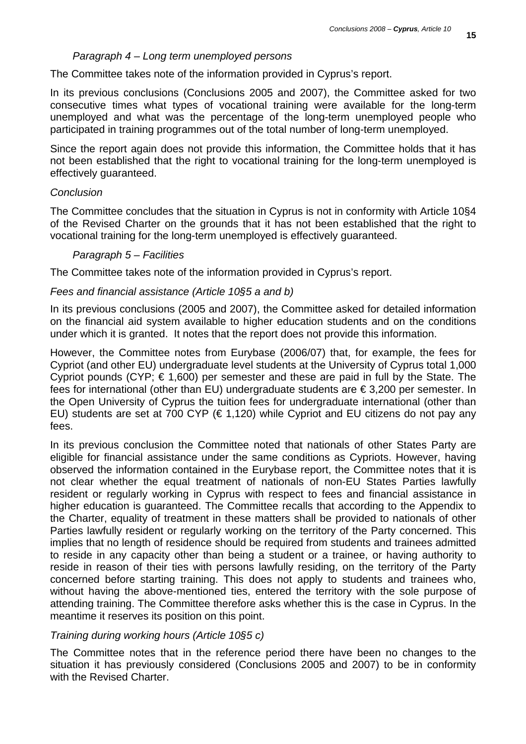## *Paragraph 4 – Long term unemployed persons*

The Committee takes note of the information provided in Cyprus's report.

In its previous conclusions (Conclusions 2005 and 2007), the Committee asked for two consecutive times what types of vocational training were available for the long-term unemployed and what was the percentage of the long-term unemployed people who participated in training programmes out of the total number of long-term unemployed.

Since the report again does not provide this information, the Committee holds that it has not been established that the right to vocational training for the long-term unemployed is effectively guaranteed.

## *Conclusion*

The Committee concludes that the situation in Cyprus is not in conformity with Article 10§4 of the Revised Charter on the grounds that it has not been established that the right to vocational training for the long-term unemployed is effectively guaranteed.

## *Paragraph 5 – Facilities*

The Committee takes note of the information provided in Cyprus's report.

## *Fees and financial assistance (Article 10§5 a and b)*

In its previous conclusions (2005 and 2007), the Committee asked for detailed information on the financial aid system available to higher education students and on the conditions under which it is granted. It notes that the report does not provide this information.

However, the Committee notes from Eurybase (2006/07) that, for example, the fees for Cypriot (and other EU) undergraduate level students at the University of Cyprus total 1,000 Cypriot pounds (CYP;  $\epsilon$  1,600) per semester and these are paid in full by the State. The fees for international (other than EU) undergraduate students are € 3,200 per semester. In the Open University of Cyprus the tuition fees for undergraduate international (other than EU) students are set at 700 CYP ( $\in$  1,120) while Cypriot and EU citizens do not pay any fees.

In its previous conclusion the Committee noted that nationals of other States Party are eligible for financial assistance under the same conditions as Cypriots. However, having observed the information contained in the Eurybase report, the Committee notes that it is not clear whether the equal treatment of nationals of non-EU States Parties lawfully resident or regularly working in Cyprus with respect to fees and financial assistance in higher education is guaranteed. The Committee recalls that according to the Appendix to the Charter, equality of treatment in these matters shall be provided to nationals of other Parties lawfully resident or regularly working on the territory of the Party concerned. This implies that no length of residence should be required from students and trainees admitted to reside in any capacity other than being a student or a trainee, or having authority to reside in reason of their ties with persons lawfully residing, on the territory of the Party concerned before starting training. This does not apply to students and trainees who, without having the above-mentioned ties, entered the territory with the sole purpose of attending training. The Committee therefore asks whether this is the case in Cyprus. In the meantime it reserves its position on this point.

# *Training during working hours (Article 10§5 c)*

The Committee notes that in the reference period there have been no changes to the situation it has previously considered (Conclusions 2005 and 2007) to be in conformity with the Revised Charter.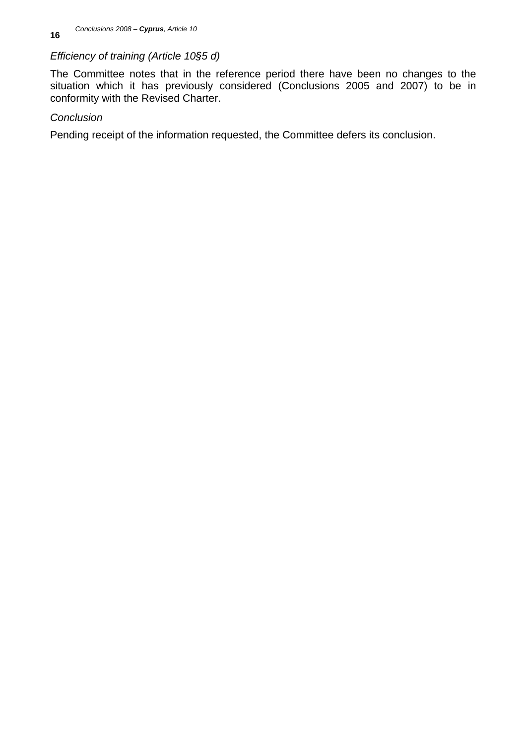# *Efficiency of training (Article 10§5 d)*

The Committee notes that in the reference period there have been no changes to the situation which it has previously considered (Conclusions 2005 and 2007) to be in conformity with the Revised Charter.

# *Conclusion*

Pending receipt of the information requested, the Committee defers its conclusion.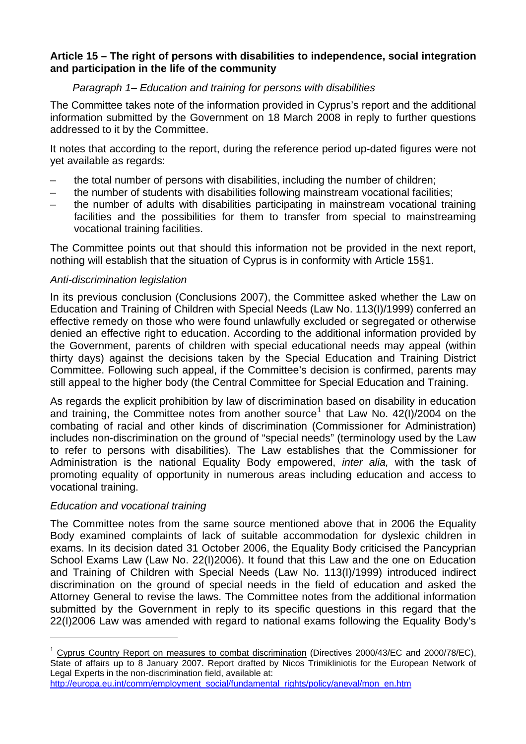# **Article 15 – The right of persons with disabilities to independence, social integration and participation in the life of the community**

# *Paragraph 1– Education and training for persons with disabilities*

The Committee takes note of the information provided in Cyprus's report and the additional information submitted by the Government on 18 March 2008 in reply to further questions addressed to it by the Committee.

It notes that according to the report, during the reference period up-dated figures were not yet available as regards:

- the total number of persons with disabilities, including the number of children;
- the number of students with disabilities following mainstream vocational facilities;
- the number of adults with disabilities participating in mainstream vocational training facilities and the possibilities for them to transfer from special to mainstreaming vocational training facilities.

The Committee points out that should this information not be provided in the next report, nothing will establish that the situation of Cyprus is in conformity with Article 15§1.

# *Anti-discrimination legislation*

In its previous conclusion (Conclusions 2007), the Committee asked whether the Law on Education and Training of Children with Special Needs (Law No. 113(I)/1999) conferred an effective remedy on those who were found unlawfully excluded or segregated or otherwise denied an effective right to education. According to the additional information provided by the Government, parents of children with special educational needs may appeal (within thirty days) against the decisions taken by the Special Education and Training District Committee. Following such appeal, if the Committee's decision is confirmed, parents may still appeal to the higher body (the Central Committee for Special Education and Training.

As regards the explicit prohibition by law of discrimination based on disability in education and training, the Committee notes from another source<sup>[1](#page-16-0)</sup> that Law No. 42(I)/2004 on the combating of racial and other kinds of discrimination (Commissioner for Administration) includes non-discrimination on the ground of "special needs" (terminology used by the Law to refer to persons with disabilities). The Law establishes that the Commissioner for Administration is the national Equality Body empowered, *inter alia,* with the task of promoting equality of opportunity in numerous areas including education and access to vocational training.

# *Education and vocational training*

l

The Committee notes from the same source mentioned above that in 2006 the Equality Body examined complaints of lack of suitable accommodation for dyslexic children in exams. In its decision dated 31 October 2006, the Equality Body criticised the Pancyprian School Exams Law (Law No. 22(I)2006). It found that this Law and the one on Education and Training of Children with Special Needs (Law No. 113(I)/1999) introduced indirect discrimination on the ground of special needs in the field of education and asked the Attorney General to revise the laws. The Committee notes from the additional information submitted by the Government in reply to its specific questions in this regard that the 22(I)2006 Law was amended with regard to national exams following the Equality Body's

<span id="page-16-0"></span> $1$  Cyprus Country Report on measures to combat discrimination (Directives 2000/43/EC and 2000/78/EC), State of affairs up to 8 January 2007. Report drafted by Nicos Trimikliniotis for the European Network of Legal Experts in the non-discrimination field, available at: [http://europa.eu.int/comm/employment\\_social/fundamental\\_rights/policy/aneval/mon\\_en.htm](http://europa.eu.int/comm/employment_social/fundamental_rights/policy/aneval/mon_en.htm)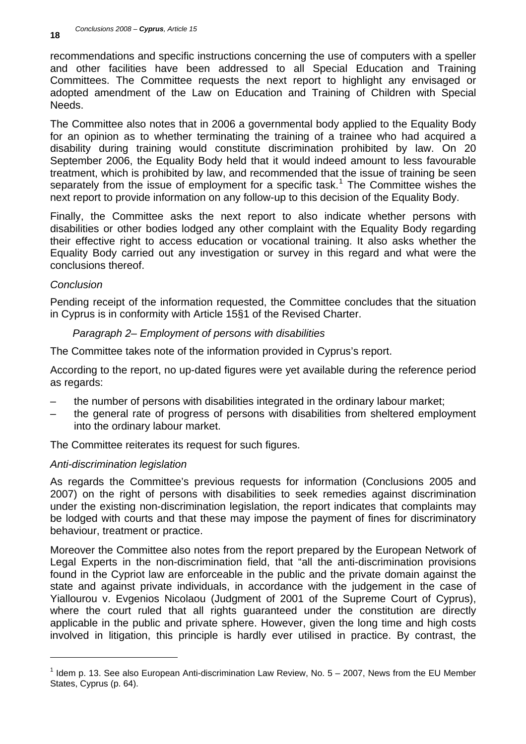recommendations and specific instructions concerning the use of computers with a speller and other facilities have been addressed to all Special Education and Training Committees. The Committee requests the next report to highlight any envisaged or adopted amendment of the Law on Education and Training of Children with Special Needs.

The Committee also notes that in 2006 a governmental body applied to the Equality Body for an opinion as to whether terminating the training of a trainee who had acquired a disability during training would constitute discrimination prohibited by law. On 20 September 2006, the Equality Body held that it would indeed amount to less favourable treatment, which is prohibited by law, and recommended that the issue of training be seen separately from the issue of employment for a specific task.<sup>[1](#page-17-0)</sup> The Committee wishes the next report to provide information on any follow-up to this decision of the Equality Body.

Finally, the Committee asks the next report to also indicate whether persons with disabilities or other bodies lodged any other complaint with the Equality Body regarding their effective right to access education or vocational training. It also asks whether the Equality Body carried out any investigation or survey in this regard and what were the conclusions thereof.

# *Conclusion*

l

Pending receipt of the information requested, the Committee concludes that the situation in Cyprus is in conformity with Article 15§1 of the Revised Charter.

## *Paragraph 2– Employment of persons with disabilities*

The Committee takes note of the information provided in Cyprus's report.

According to the report, no up-dated figures were yet available during the reference period as regards:

- the number of persons with disabilities integrated in the ordinary labour market;
- the general rate of progress of persons with disabilities from sheltered employment into the ordinary labour market.

The Committee reiterates its request for such figures.

# *Anti-discrimination legislation*

As regards the Committee's previous requests for information (Conclusions 2005 and 2007) on the right of persons with disabilities to seek remedies against discrimination under the existing non-discrimination legislation, the report indicates that complaints may be lodged with courts and that these may impose the payment of fines for discriminatory behaviour, treatment or practice.

Moreover the Committee also notes from the report prepared by the European Network of Legal Experts in the non-discrimination field, that "all the anti-discrimination provisions found in the Cypriot law are enforceable in the public and the private domain against the state and against private individuals, in accordance with the judgement in the case of Yiallourou v. Evgenios Nicolaou (Judgment of 2001 of the Supreme Court of Cyprus), where the court ruled that all rights guaranteed under the constitution are directly applicable in the public and private sphere. However, given the long time and high costs involved in litigation, this principle is hardly ever utilised in practice. By contrast, the

<span id="page-17-0"></span> $<sup>1</sup>$  Idem p. 13. See also European Anti-discrimination Law Review, No. 5 – 2007, News from the EU Member</sup> States, Cyprus (p. 64).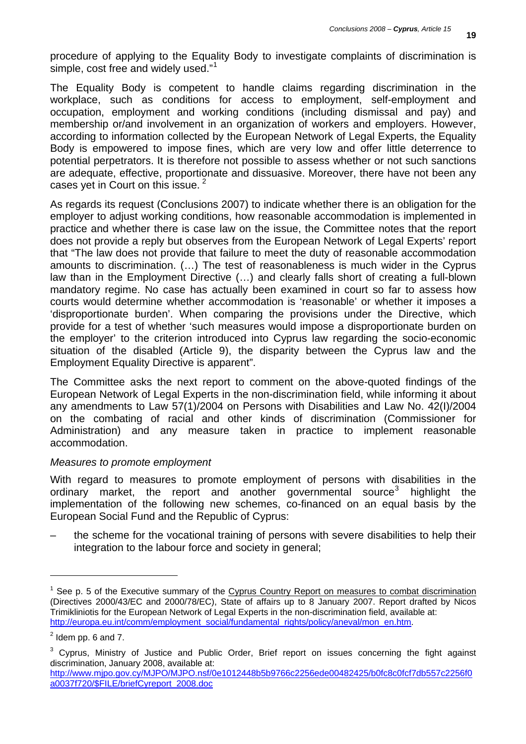procedure of applying to the Equality Body to investigate complaints of discrimination is simple, cost free and widely used."<sup>[1](#page-18-0)</sup>

The Equality Body is competent to handle claims regarding discrimination in the workplace, such as conditions for access to employment, self-employment and occupation, employment and working conditions (including dismissal and pay) and membership or/and involvement in an organization of workers and employers. However, according to information collected by the European Network of Legal Experts, the Equality Body is empowered to impose fines, which are very low and offer little deterrence to potential perpetrators. It is therefore not possible to assess whether or not such sanctions are adequate, effective, proportionate and dissuasive. Moreover, there have not been any cases yet in Court on this issue.<sup>[2](#page-18-1)</sup>

As regards its request (Conclusions 2007) to indicate whether there is an obligation for the employer to adjust working conditions, how reasonable accommodation is implemented in practice and whether there is case law on the issue, the Committee notes that the report does not provide a reply but observes from the European Network of Legal Experts' report that "The law does not provide that failure to meet the duty of reasonable accommodation amounts to discrimination. (…) The test of reasonableness is much wider in the Cyprus law than in the Employment Directive (…) and clearly falls short of creating a full-blown mandatory regime. No case has actually been examined in court so far to assess how courts would determine whether accommodation is 'reasonable' or whether it imposes a 'disproportionate burden'. When comparing the provisions under the Directive, which provide for a test of whether 'such measures would impose a disproportionate burden on the employer' to the criterion introduced into Cyprus law regarding the socio-economic situation of the disabled (Article 9), the disparity between the Cyprus law and the Employment Equality Directive is apparent".

The Committee asks the next report to comment on the above-quoted findings of the European Network of Legal Experts in the non-discrimination field, while informing it about any amendments to Law 57(1)/2004 on Persons with Disabilities and Law No. 42(I)/2004 on the combating of racial and other kinds of discrimination (Commissioner for Administration) and any measure taken in practice to implement reasonable accommodation.

## *Measures to promote employment*

With regard to measures to promote employment of persons with disabilities in the ordinary market, the report and another governmental source<sup>[3](#page-18-2)</sup> highlight the implementation of the following new schemes, co-financed on an equal basis by the European Social Fund and the Republic of Cyprus:

– the scheme for the vocational training of persons with severe disabilities to help their integration to the labour force and society in general;

l

<span id="page-18-0"></span><sup>&</sup>lt;sup>1</sup> See p. 5 of the Executive summary of the Cyprus Country Report on measures to combat discrimination (Directives 2000/43/EC and 2000/78/EC), State of affairs up to 8 January 2007. Report drafted by Nicos Trimikliniotis for the European Network of Legal Experts in the non-discrimination field, available at: [http://europa.eu.int/comm/employment\\_social/fundamental\\_rights/policy/aneval/mon\\_en.htm](http://europa.eu.int/comm/employment_social/fundamental_rights/policy/aneval/mon_en.htm).

<span id="page-18-1"></span> $2$  Idem pp. 6 and 7.

<span id="page-18-2"></span> $3$  Cyprus, Ministry of Justice and Public Order, Brief report on issues concerning the fight against discrimination, January 2008, available at:

[http://www.mjpo.gov.cy/MJPO/MJPO.nsf/0e1012448b5b9766c2256ede00482425/b0fc8c0fcf7db557c2256f0](http://www.mjpo.gov.cy/MJPO/MJPO.nsf/0e1012448b5b9766c2256ede00482425/b0fc8c0fcf7db557c2256f0a0037f720/$FILE/briefCyreport_2008.doc) [a0037f720/\\$FILE/briefCyreport\\_2008.doc](http://www.mjpo.gov.cy/MJPO/MJPO.nsf/0e1012448b5b9766c2256ede00482425/b0fc8c0fcf7db557c2256f0a0037f720/$FILE/briefCyreport_2008.doc)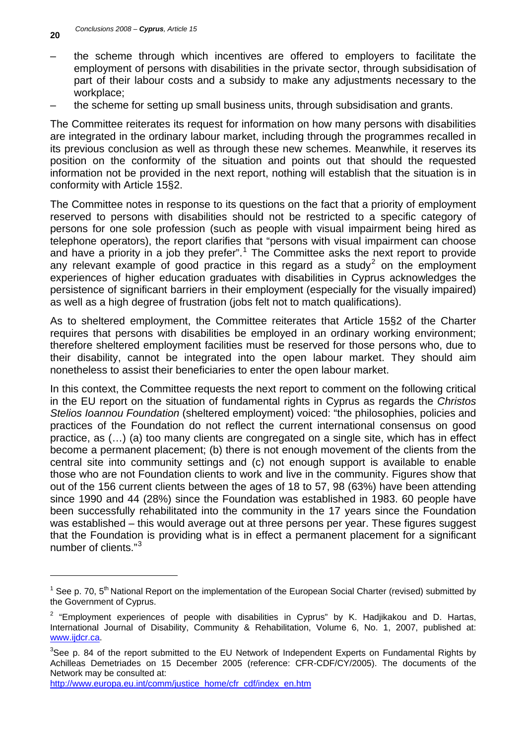- the scheme through which incentives are offered to employers to facilitate the employment of persons with disabilities in the private sector, through subsidisation of part of their labour costs and a subsidy to make any adjustments necessary to the workplace;
- the scheme for setting up small business units, through subsidisation and grants.

The Committee reiterates its request for information on how many persons with disabilities are integrated in the ordinary labour market, including through the programmes recalled in its previous conclusion as well as through these new schemes. Meanwhile, it reserves its position on the conformity of the situation and points out that should the requested information not be provided in the next report, nothing will establish that the situation is in conformity with Article 15§2.

The Committee notes in response to its questions on the fact that a priority of employment reserved to persons with disabilities should not be restricted to a specific category of persons for one sole profession (such as people with visual impairment being hired as telephone operators), the report clarifies that "persons with visual impairment can choose and have a priority in a job they prefer".<sup>[1](#page-19-0)</sup> The Committee asks the next report to provide any relevant example of good practice in this regard as a study<sup>[2](#page-19-1)</sup> on the employment experiences of higher education graduates with disabilities in Cyprus acknowledges the persistence of significant barriers in their employment (especially for the visually impaired) as well as a high degree of frustration (jobs felt not to match qualifications).

As to sheltered employment, the Committee reiterates that Article 15§2 of the Charter requires that persons with disabilities be employed in an ordinary working environment; therefore sheltered employment facilities must be reserved for those persons who, due to their disability, cannot be integrated into the open labour market. They should aim nonetheless to assist their beneficiaries to enter the open labour market.

In this context, the Committee requests the next report to comment on the following critical in the EU report on the situation of fundamental rights in Cyprus as regards the *Christos Stelios Ioannou Foundation* (sheltered employment) voiced: "the philosophies, policies and practices of the Foundation do not reflect the current international consensus on good practice, as (…) (a) too many clients are congregated on a single site, which has in effect become a permanent placement; (b) there is not enough movement of the clients from the central site into community settings and (c) not enough support is available to enable those who are not Foundation clients to work and live in the community. Figures show that out of the 156 current clients between the ages of 18 to 57, 98 (63%) have been attending since 1990 and 44 (28%) since the Foundation was established in 1983. 60 people have been successfully rehabilitated into the community in the 17 years since the Foundation was established – this would average out at three persons per year. These figures suggest that the Foundation is providing what is in effect a permanent placement for a significant number of clients."<sup>[3](#page-19-2)</sup>

l

<span id="page-19-0"></span><sup>&</sup>lt;sup>1</sup> See p. 70, 5<sup>th</sup> National Report on the implementation of the European Social Charter (revised) submitted by the Government of Cyprus.

<span id="page-19-1"></span> $2$  "Employment experiences of people with disabilities in Cyprus" by K. Hadjikakou and D. Hartas, International Journal of Disability, Community & Rehabilitation, Volume 6, No. 1, 2007, published at: [www.ijdcr.ca.](http://www.ijdcr.ca/)

<span id="page-19-2"></span> $3$ See p. 84 of the report submitted to the EU Network of Independent Experts on Fundamental Rights by Achilleas Demetriades on 15 December 2005 (reference: CFR-CDF/CY/2005). The documents of the Network may be consulted at:

[http://www.europa.eu.int/comm/justice\\_home/cfr\\_cdf/index\\_en.htm](http://www.europa.eu.int/comm/justice_home/cfr_cdf/index_en.htm)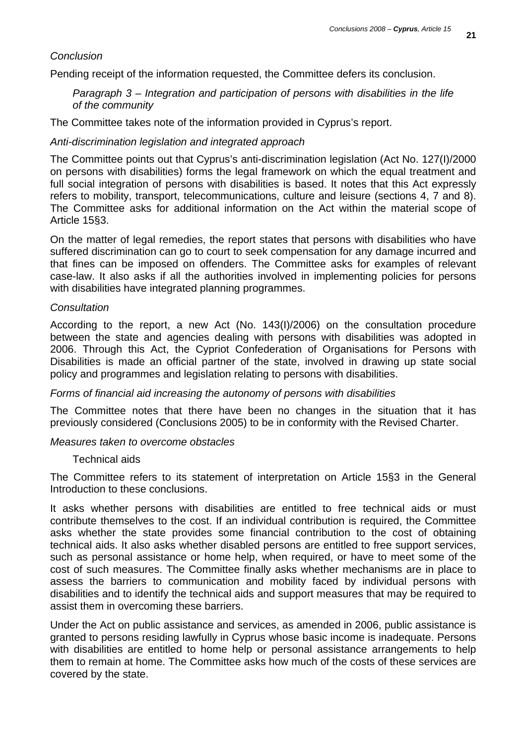## *Conclusion*

Pending receipt of the information requested, the Committee defers its conclusion.

*Paragraph 3 – Integration and participation of persons with disabilities in the life of the community* 

The Committee takes note of the information provided in Cyprus's report.

## *Anti-discrimination legislation and integrated approach*

The Committee points out that Cyprus's anti-discrimination legislation (Act No. 127(I)/2000 on persons with disabilities) forms the legal framework on which the equal treatment and full social integration of persons with disabilities is based. It notes that this Act expressly refers to mobility, transport, telecommunications, culture and leisure (sections 4, 7 and 8). The Committee asks for additional information on the Act within the material scope of Article 15§3.

On the matter of legal remedies, the report states that persons with disabilities who have suffered discrimination can go to court to seek compensation for any damage incurred and that fines can be imposed on offenders. The Committee asks for examples of relevant case-law. It also asks if all the authorities involved in implementing policies for persons with disabilities have integrated planning programmes.

#### *Consultation*

According to the report, a new Act (No. 143(I)/2006) on the consultation procedure between the state and agencies dealing with persons with disabilities was adopted in 2006. Through this Act, the Cypriot Confederation of Organisations for Persons with Disabilities is made an official partner of the state, involved in drawing up state social policy and programmes and legislation relating to persons with disabilities.

#### *Forms of financial aid increasing the autonomy of persons with disabilities*

The Committee notes that there have been no changes in the situation that it has previously considered (Conclusions 2005) to be in conformity with the Revised Charter.

#### *Measures taken to overcome obstacles*

#### Technical aids

The Committee refers to its statement of interpretation on Article 15§3 in the General Introduction to these conclusions.

It asks whether persons with disabilities are entitled to free technical aids or must contribute themselves to the cost. If an individual contribution is required, the Committee asks whether the state provides some financial contribution to the cost of obtaining technical aids. It also asks whether disabled persons are entitled to free support services, such as personal assistance or home help, when required, or have to meet some of the cost of such measures. The Committee finally asks whether mechanisms are in place to assess the barriers to communication and mobility faced by individual persons with disabilities and to identify the technical aids and support measures that may be required to assist them in overcoming these barriers.

Under the Act on public assistance and services, as amended in 2006, public assistance is granted to persons residing lawfully in Cyprus whose basic income is inadequate. Persons with disabilities are entitled to home help or personal assistance arrangements to help them to remain at home. The Committee asks how much of the costs of these services are covered by the state.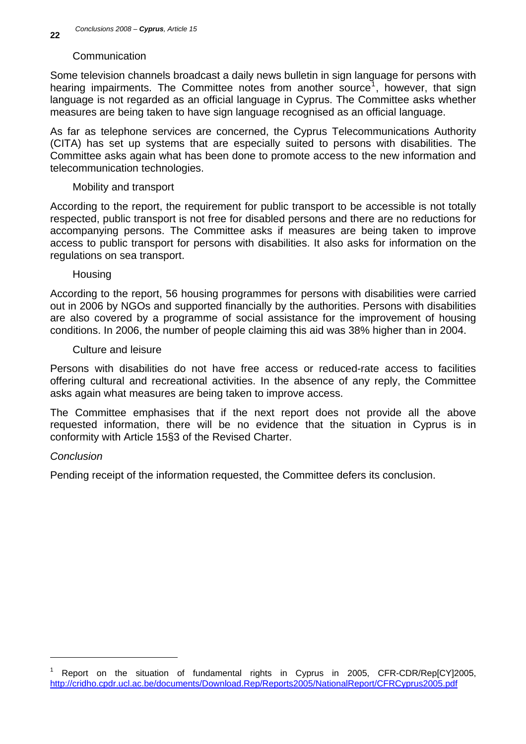## Communication

Some television channels broadcast a daily news bulletin in sign language for persons with hearing impairments. The Committee notes from another source<sup>[1](#page-21-0)</sup>, however, that sign language is not regarded as an official language in Cyprus. The Committee asks whether measures are being taken to have sign language recognised as an official language.

As far as telephone services are concerned, the Cyprus Telecommunications Authority (CITA) has set up systems that are especially suited to persons with disabilities. The Committee asks again what has been done to promote access to the new information and telecommunication technologies.

## Mobility and transport

According to the report, the requirement for public transport to be accessible is not totally respected, public transport is not free for disabled persons and there are no reductions for accompanying persons. The Committee asks if measures are being taken to improve access to public transport for persons with disabilities. It also asks for information on the regulations on sea transport.

## **Housing**

According to the report, 56 housing programmes for persons with disabilities were carried out in 2006 by NGOs and supported financially by the authorities. Persons with disabilities are also covered by a programme of social assistance for the improvement of housing conditions. In 2006, the number of people claiming this aid was 38% higher than in 2004.

## Culture and leisure

Persons with disabilities do not have free access or reduced-rate access to facilities offering cultural and recreational activities. In the absence of any reply, the Committee asks again what measures are being taken to improve access.

The Committee emphasises that if the next report does not provide all the above requested information, there will be no evidence that the situation in Cyprus is in conformity with Article 15§3 of the Revised Charter.

# *Conclusion*

l

Pending receipt of the information requested, the Committee defers its conclusion.

<span id="page-21-0"></span><sup>1</sup> Report on the situation of fundamental rights in Cyprus in 2005, CFR-CDR/Rep[CY]2005, <http://cridho.cpdr.ucl.ac.be/documents/Download.Rep/Reports2005/NationalReport/CFRCyprus2005.pdf>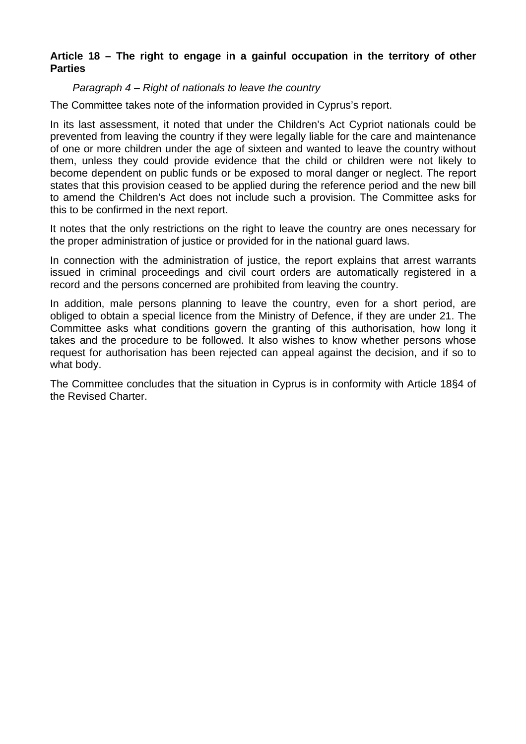# **Article 18 – The right to engage in a gainful occupation in the territory of other Parties**

# *Paragraph 4 – Right of nationals to leave the country*

The Committee takes note of the information provided in Cyprus's report.

In its last assessment, it noted that under the Children's Act Cypriot nationals could be prevented from leaving the country if they were legally liable for the care and maintenance of one or more children under the age of sixteen and wanted to leave the country without them, unless they could provide evidence that the child or children were not likely to become dependent on public funds or be exposed to moral danger or neglect. The report states that this provision ceased to be applied during the reference period and the new bill to amend the Children's Act does not include such a provision. The Committee asks for this to be confirmed in the next report.

It notes that the only restrictions on the right to leave the country are ones necessary for the proper administration of justice or provided for in the national guard laws.

In connection with the administration of justice, the report explains that arrest warrants issued in criminal proceedings and civil court orders are automatically registered in a record and the persons concerned are prohibited from leaving the country.

In addition, male persons planning to leave the country, even for a short period, are obliged to obtain a special licence from the Ministry of Defence, if they are under 21. The Committee asks what conditions govern the granting of this authorisation, how long it takes and the procedure to be followed. It also wishes to know whether persons whose request for authorisation has been rejected can appeal against the decision, and if so to what body.

The Committee concludes that the situation in Cyprus is in conformity with Article 18§4 of the Revised Charter.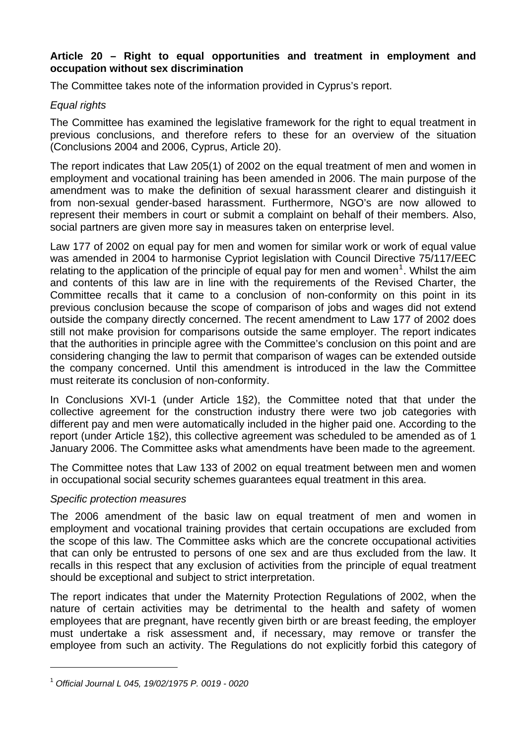## **Article 20 – Right to equal opportunities and treatment in employment and occupation without sex discrimination**

The Committee takes note of the information provided in Cyprus's report.

# *Equal rights*

The Committee has examined the legislative framework for the right to equal treatment in previous conclusions, and therefore refers to these for an overview of the situation (Conclusions 2004 and 2006, Cyprus, Article 20).

The report indicates that Law 205(1) of 2002 on the equal treatment of men and women in employment and vocational training has been amended in 2006. The main purpose of the amendment was to make the definition of sexual harassment clearer and distinguish it from non-sexual gender-based harassment. Furthermore, NGO's are now allowed to represent their members in court or submit a complaint on behalf of their members. Also, social partners are given more say in measures taken on enterprise level.

Law 177 of 2002 on equal pay for men and women for similar work or work of equal value was amended in 2004 to harmonise Cypriot legislation with Council Directive 75/117/EEC relating to the application of the principle of equal pay for men and women<sup>[1](#page-23-0)</sup>. Whilst the aim and contents of this law are in line with the requirements of the Revised Charter, the Committee recalls that it came to a conclusion of non-conformity on this point in its previous conclusion because the scope of comparison of jobs and wages did not extend outside the company directly concerned. The recent amendment to Law 177 of 2002 does still not make provision for comparisons outside the same employer. The report indicates that the authorities in principle agree with the Committee's conclusion on this point and are considering changing the law to permit that comparison of wages can be extended outside the company concerned. Until this amendment is introduced in the law the Committee must reiterate its conclusion of non-conformity.

In Conclusions XVI-1 (under Article 1§2), the Committee noted that that under the collective agreement for the construction industry there were two job categories with different pay and men were automatically included in the higher paid one. According to the report (under Article 1§2), this collective agreement was scheduled to be amended as of 1 January 2006. The Committee asks what amendments have been made to the agreement.

The Committee notes that Law 133 of 2002 on equal treatment between men and women in occupational social security schemes guarantees equal treatment in this area.

# *Specific protection measures*

l

The 2006 amendment of the basic law on equal treatment of men and women in employment and vocational training provides that certain occupations are excluded from the scope of this law. The Committee asks which are the concrete occupational activities that can only be entrusted to persons of one sex and are thus excluded from the law. It recalls in this respect that any exclusion of activities from the principle of equal treatment should be exceptional and subject to strict interpretation.

The report indicates that under the Maternity Protection Regulations of 2002, when the nature of certain activities may be detrimental to the health and safety of women employees that are pregnant, have recently given birth or are breast feeding, the employer must undertake a risk assessment and, if necessary, may remove or transfer the employee from such an activity. The Regulations do not explicitly forbid this category of

<span id="page-23-0"></span><sup>1</sup> *Official Journal L 045, 19/02/1975 P. 0019 - 0020*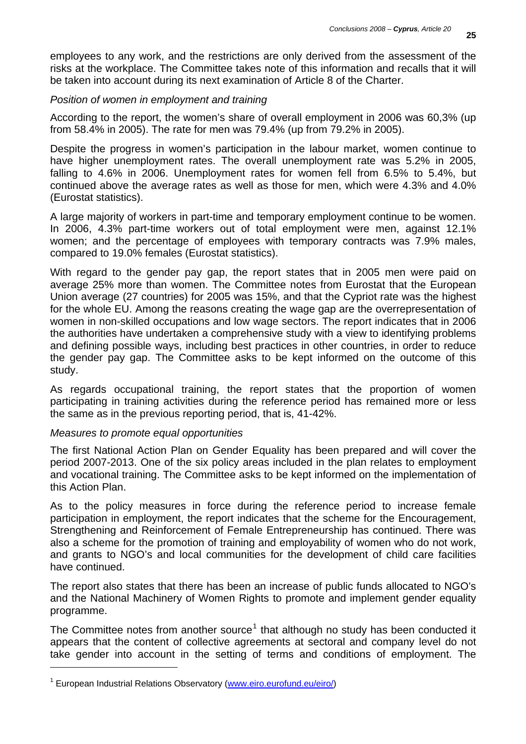employees to any work, and the restrictions are only derived from the assessment of the risks at the workplace. The Committee takes note of this information and recalls that it will be taken into account during its next examination of Article 8 of the Charter.

## *Position of women in employment and training*

According to the report, the women's share of overall employment in 2006 was 60,3% (up from 58.4% in 2005). The rate for men was 79.4% (up from 79.2% in 2005).

Despite the progress in women's participation in the labour market, women continue to have higher unemployment rates. The overall unemployment rate was 5.2% in 2005, falling to 4.6% in 2006. Unemployment rates for women fell from 6.5% to 5.4%, but continued above the average rates as well as those for men, which were 4.3% and 4.0% (Eurostat statistics).

A large majority of workers in part-time and temporary employment continue to be women. In 2006, 4.3% part-time workers out of total employment were men, against 12.1% women; and the percentage of employees with temporary contracts was 7.9% males, compared to 19.0% females (Eurostat statistics).

With regard to the gender pay gap, the report states that in 2005 men were paid on average 25% more than women. The Committee notes from Eurostat that the European Union average (27 countries) for 2005 was 15%, and that the Cypriot rate was the highest for the whole EU. Among the reasons creating the wage gap are the overrepresentation of women in non-skilled occupations and low wage sectors. The report indicates that in 2006 the authorities have undertaken a comprehensive study with a view to identifying problems and defining possible ways, including best practices in other countries, in order to reduce the gender pay gap. The Committee asks to be kept informed on the outcome of this study.

As regards occupational training, the report states that the proportion of women participating in training activities during the reference period has remained more or less the same as in the previous reporting period, that is, 41-42%.

## *Measures to promote equal opportunities*

l

The first National Action Plan on Gender Equality has been prepared and will cover the period 2007-2013. One of the six policy areas included in the plan relates to employment and vocational training. The Committee asks to be kept informed on the implementation of this Action Plan.

As to the policy measures in force during the reference period to increase female participation in employment, the report indicates that the scheme for the Encouragement, Strengthening and Reinforcement of Female Entrepreneurship has continued. There was also a scheme for the promotion of training and employability of women who do not work, and grants to NGO's and local communities for the development of child care facilities have continued.

The report also states that there has been an increase of public funds allocated to NGO's and the National Machinery of Women Rights to promote and implement gender equality programme.

The Committee notes from another source<sup>[1](#page-24-0)</sup> that although no study has been conducted it appears that the content of collective agreements at sectoral and company level do not take gender into account in the setting of terms and conditions of employment. The

<span id="page-24-0"></span><sup>&</sup>lt;sup>1</sup> European Industrial Relations Observatory ([www.eiro.eurofund.eu/eiro/](http://www.eiro.eurofund.eu/eiro/))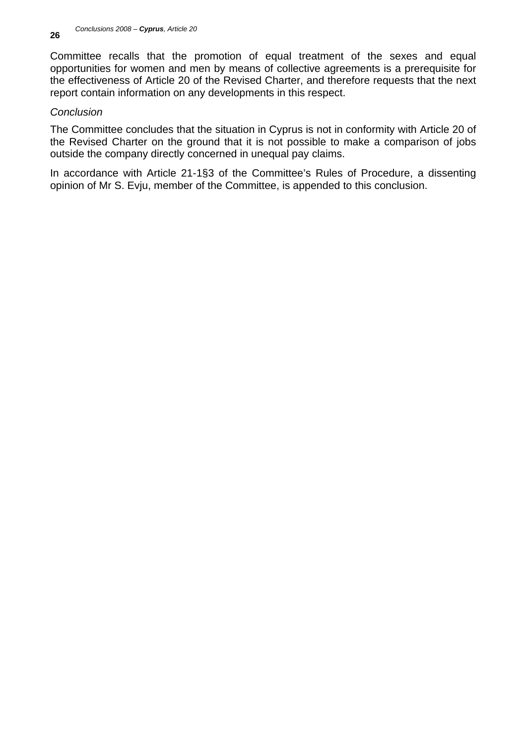Committee recalls that the promotion of equal treatment of the sexes and equal opportunities for women and men by means of collective agreements is a prerequisite for the effectiveness of Article 20 of the Revised Charter, and therefore requests that the next report contain information on any developments in this respect.

# *Conclusion*

The Committee concludes that the situation in Cyprus is not in conformity with Article 20 of the Revised Charter on the ground that it is not possible to make a comparison of jobs outside the company directly concerned in unequal pay claims.

In accordance with Article 21-1§3 of the Committee's Rules of Procedure, a dissenting opinion of Mr S. Evju, member of the Committee, is appended to this conclusion.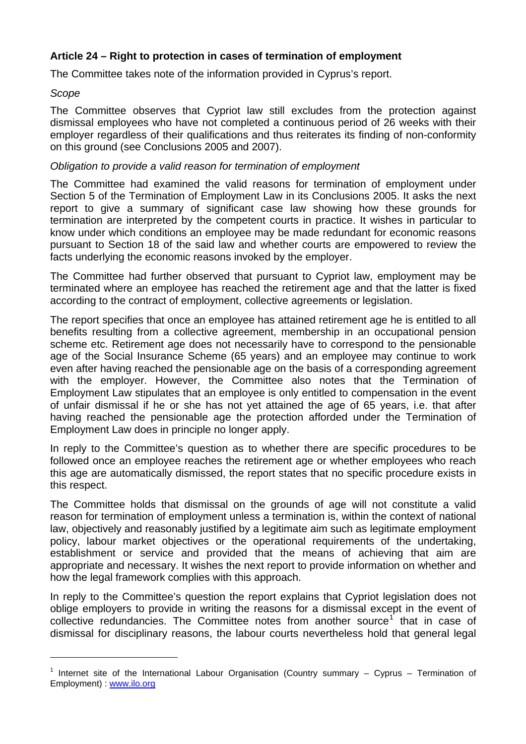# **Article 24 – Right to protection in cases of termination of employment**

The Committee takes note of the information provided in Cyprus's report.

## *Scope*

l

The Committee observes that Cypriot law still excludes from the protection against dismissal employees who have not completed a continuous period of 26 weeks with their employer regardless of their qualifications and thus reiterates its finding of non-conformity on this ground (see Conclusions 2005 and 2007).

## *Obligation to provide a valid reason for termination of employment*

The Committee had examined the valid reasons for termination of employment under Section 5 of the Termination of Employment Law in its Conclusions 2005. It asks the next report to give a summary of significant case law showing how these grounds for termination are interpreted by the competent courts in practice. It wishes in particular to know under which conditions an employee may be made redundant for economic reasons pursuant to Section 18 of the said law and whether courts are empowered to review the facts underlying the economic reasons invoked by the employer.

The Committee had further observed that pursuant to Cypriot law, employment may be terminated where an employee has reached the retirement age and that the latter is fixed according to the contract of employment, collective agreements or legislation.

The report specifies that once an employee has attained retirement age he is entitled to all benefits resulting from a collective agreement, membership in an occupational pension scheme etc. Retirement age does not necessarily have to correspond to the pensionable age of the Social Insurance Scheme (65 years) and an employee may continue to work even after having reached the pensionable age on the basis of a corresponding agreement with the employer. However, the Committee also notes that the Termination of Employment Law stipulates that an employee is only entitled to compensation in the event of unfair dismissal if he or she has not yet attained the age of 65 years, i.e. that after having reached the pensionable age the protection afforded under the Termination of Employment Law does in principle no longer apply.

In reply to the Committee's question as to whether there are specific procedures to be followed once an employee reaches the retirement age or whether employees who reach this age are automatically dismissed, the report states that no specific procedure exists in this respect.

The Committee holds that dismissal on the grounds of age will not constitute a valid reason for termination of employment unless a termination is, within the context of national law, objectively and reasonably justified by a legitimate aim such as legitimate employment policy, labour market objectives or the operational requirements of the undertaking, establishment or service and provided that the means of achieving that aim are appropriate and necessary. It wishes the next report to provide information on whether and how the legal framework complies with this approach.

In reply to the Committee's question the report explains that Cypriot legislation does not oblige employers to provide in writing the reasons for a dismissal except in the event of collective redundancies. The Committee notes from another source<sup>[1](#page-26-0)</sup> that in case of dismissal for disciplinary reasons, the labour courts nevertheless hold that general legal

<span id="page-26-0"></span><sup>&</sup>lt;sup>1</sup> Internet site of the International Labour Organisation (Country summary  $-$  Cyprus  $-$  Termination of Employment) : [www.ilo.org](http://www.ilo.org/)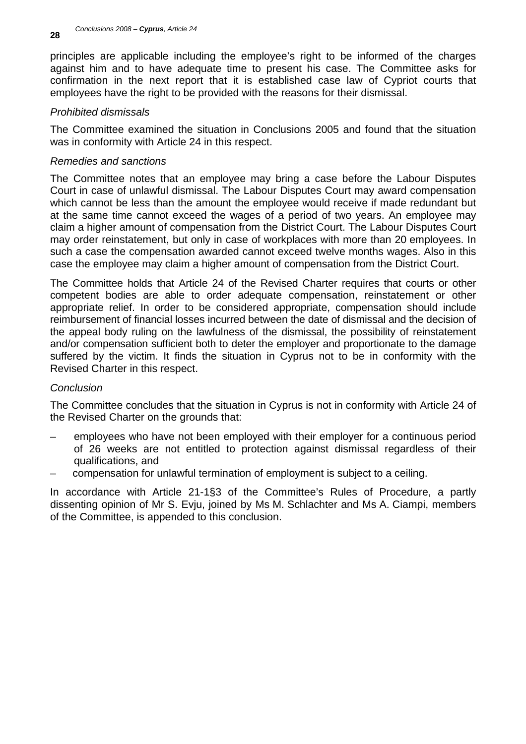principles are applicable including the employee's right to be informed of the charges against him and to have adequate time to present his case. The Committee asks for confirmation in the next report that it is established case law of Cypriot courts that employees have the right to be provided with the reasons for their dismissal.

# *Prohibited dismissals*

The Committee examined the situation in Conclusions 2005 and found that the situation was in conformity with Article 24 in this respect.

## *Remedies and sanctions*

The Committee notes that an employee may bring a case before the Labour Disputes Court in case of unlawful dismissal. The Labour Disputes Court may award compensation which cannot be less than the amount the employee would receive if made redundant but at the same time cannot exceed the wages of a period of two years. An employee may claim a higher amount of compensation from the District Court. The Labour Disputes Court may order reinstatement, but only in case of workplaces with more than 20 employees. In such a case the compensation awarded cannot exceed twelve months wages. Also in this case the employee may claim a higher amount of compensation from the District Court.

The Committee holds that Article 24 of the Revised Charter requires that courts or other competent bodies are able to order adequate compensation, reinstatement or other appropriate relief. In order to be considered appropriate, compensation should include reimbursement of financial losses incurred between the date of dismissal and the decision of the appeal body ruling on the lawfulness of the dismissal, the possibility of reinstatement and/or compensation sufficient both to deter the employer and proportionate to the damage suffered by the victim. It finds the situation in Cyprus not to be in conformity with the Revised Charter in this respect.

## *Conclusion*

The Committee concludes that the situation in Cyprus is not in conformity with Article 24 of the Revised Charter on the grounds that:

- employees who have not been employed with their employer for a continuous period of 26 weeks are not entitled to protection against dismissal regardless of their qualifications, and
- compensation for unlawful termination of employment is subject to a ceiling.

In accordance with Article 21-1§3 of the Committee's Rules of Procedure, a partly dissenting opinion of Mr S. Evju, joined by Ms M. Schlachter and Ms A. Ciampi, members of the Committee, is appended to this conclusion.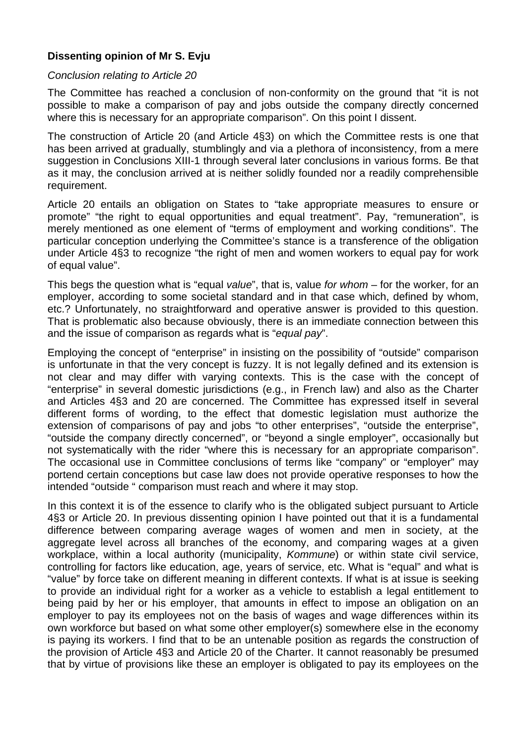# **Dissenting opinion of Mr S. Evju**

## *Conclusion relating to Article 20*

The Committee has reached a conclusion of non-conformity on the ground that "it is not possible to make a comparison of pay and jobs outside the company directly concerned where this is necessary for an appropriate comparison". On this point I dissent.

The construction of Article 20 (and Article 4§3) on which the Committee rests is one that has been arrived at gradually, stumblingly and via a plethora of inconsistency, from a mere suggestion in Conclusions XIII-1 through several later conclusions in various forms. Be that as it may, the conclusion arrived at is neither solidly founded nor a readily comprehensible requirement.

Article 20 entails an obligation on States to "take appropriate measures to ensure or promote" "the right to equal opportunities and equal treatment". Pay, "remuneration", is merely mentioned as one element of "terms of employment and working conditions". The particular conception underlying the Committee's stance is a transference of the obligation under Article 4§3 to recognize "the right of men and women workers to equal pay for work of equal value".

This begs the question what is "equal *value*", that is, value *for whom* – for the worker, for an employer, according to some societal standard and in that case which, defined by whom, etc.? Unfortunately, no straightforward and operative answer is provided to this question. That is problematic also because obviously, there is an immediate connection between this and the issue of comparison as regards what is "*equal pay*".

Employing the concept of "enterprise" in insisting on the possibility of "outside" comparison is unfortunate in that the very concept is fuzzy. It is not legally defined and its extension is not clear and may differ with varying contexts. This is the case with the concept of "enterprise" in several domestic jurisdictions (e.g., in French law) and also as the Charter and Articles 4§3 and 20 are concerned. The Committee has expressed itself in several different forms of wording, to the effect that domestic legislation must authorize the extension of comparisons of pay and jobs "to other enterprises", "outside the enterprise", "outside the company directly concerned", or "beyond a single employer", occasionally but not systematically with the rider "where this is necessary for an appropriate comparison". The occasional use in Committee conclusions of terms like "company" or "employer" may portend certain conceptions but case law does not provide operative responses to how the intended "outside " comparison must reach and where it may stop.

In this context it is of the essence to clarify who is the obligated subject pursuant to Article 4§3 or Article 20. In previous dissenting opinion I have pointed out that it is a fundamental difference between comparing average wages of women and men in society, at the aggregate level across all branches of the economy, and comparing wages at a given workplace, within a local authority (municipality, *Kommune*) or within state civil service, controlling for factors like education, age, years of service, etc. What is "equal" and what is "value" by force take on different meaning in different contexts. If what is at issue is seeking to provide an individual right for a worker as a vehicle to establish a legal entitlement to being paid by her or his employer, that amounts in effect to impose an obligation on an employer to pay its employees not on the basis of wages and wage differences within its own workforce but based on what some other employer(s) somewhere else in the economy is paying its workers. I find that to be an untenable position as regards the construction of the provision of Article 4§3 and Article 20 of the Charter. It cannot reasonably be presumed that by virtue of provisions like these an employer is obligated to pay its employees on the